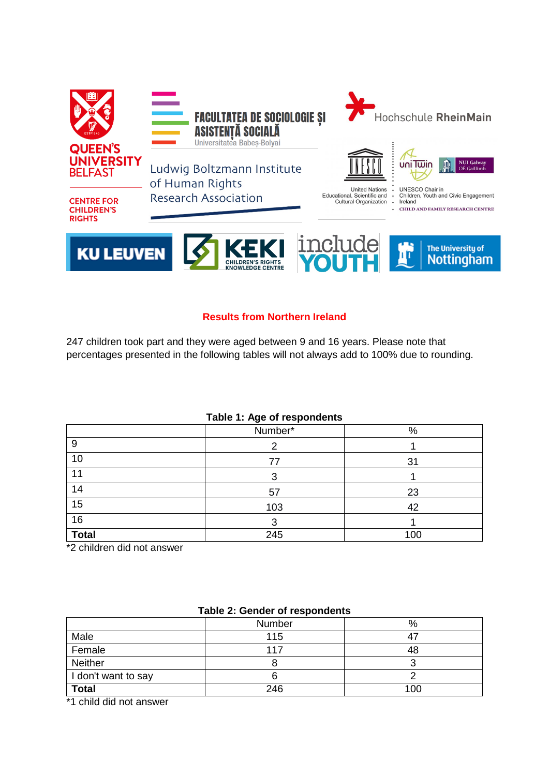

### **Results from Northern Ireland**

247 children took part and they were aged between 9 and 16 years. Please note that percentages presented in the following tables will not always add to 100% due to rounding.

| ------------ |         |     |  |
|--------------|---------|-----|--|
|              | Number* | %   |  |
| 9            |         |     |  |
| 10           | 77      | 31  |  |
| 11           |         |     |  |
| 14           | 57      | 23  |  |
| 15           | 103     | 42  |  |
| 16           |         |     |  |
| <b>Total</b> | 245     | 100 |  |

\*2 children did not answer

| rable 2. Seriuer or respondents |        |     |
|---------------------------------|--------|-----|
|                                 | Number | %   |
| Male                            | 115    | 47  |
| Female                          | 117    | 48  |
| <b>Neither</b>                  |        |     |
| I don't want to say             |        |     |
| <b>Total</b>                    | 246    | 100 |

### **Table 2: Gender of respondents**

\*1 child did not answer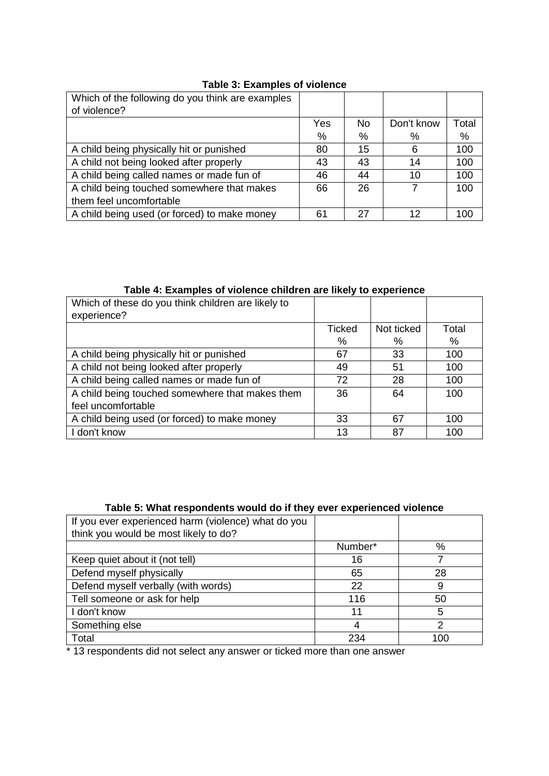| Which of the following do you think are examples |     |     |            |       |
|--------------------------------------------------|-----|-----|------------|-------|
| of violence?                                     |     |     |            |       |
|                                                  | Yes | No. | Don't know | Total |
|                                                  | %   | %   | %          | %     |
| A child being physically hit or punished         | 80  | 15  | 6          | 100   |
| A child not being looked after properly          | 43  | 43  | 14         | 100   |
| A child being called names or made fun of        | 46  | 44  | 10         | 100   |
| A child being touched somewhere that makes       | 66  | 26  |            | 100   |
| them feel uncomfortable                          |     |     |            |       |
| A child being used (or forced) to make money     | 61  | 27  | 12         | 100   |

# **Table 3: Examples of violence**

# **Table 4: Examples of violence children are likely to experience**

| Which of these do you think children are likely to |               |            |       |
|----------------------------------------------------|---------------|------------|-------|
| experience?                                        |               |            |       |
|                                                    | <b>Ticked</b> | Not ticked | Total |
|                                                    | %             | %          | %     |
| A child being physically hit or punished           | 67            | 33         | 100   |
| A child not being looked after properly            | 49            | 51         | 100   |
| A child being called names or made fun of          | 72            | 28         | 100   |
| A child being touched somewhere that makes them    | 36            | 64         | 100   |
| feel uncomfortable                                 |               |            |       |
| A child being used (or forced) to make money       | 33            | 67         | 100   |
| I don't know                                       | 13            | 87         | 100   |

### **Table 5: What respondents would do if they ever experienced violence**

| If you ever experienced harm (violence) what do you |         |     |
|-----------------------------------------------------|---------|-----|
| think you would be most likely to do?               |         |     |
|                                                     | Number* | %   |
| Keep quiet about it (not tell)                      | 16      |     |
| Defend myself physically                            | 65      | 28  |
| Defend myself verbally (with words)                 | 22      |     |
| Tell someone or ask for help                        | 116     | 50  |
| I don't know                                        | 11      | 5   |
| Something else                                      |         | 2   |
| Total                                               | 234     | 100 |
|                                                     |         |     |

\* 13 respondents did not select any answer or ticked more than one answer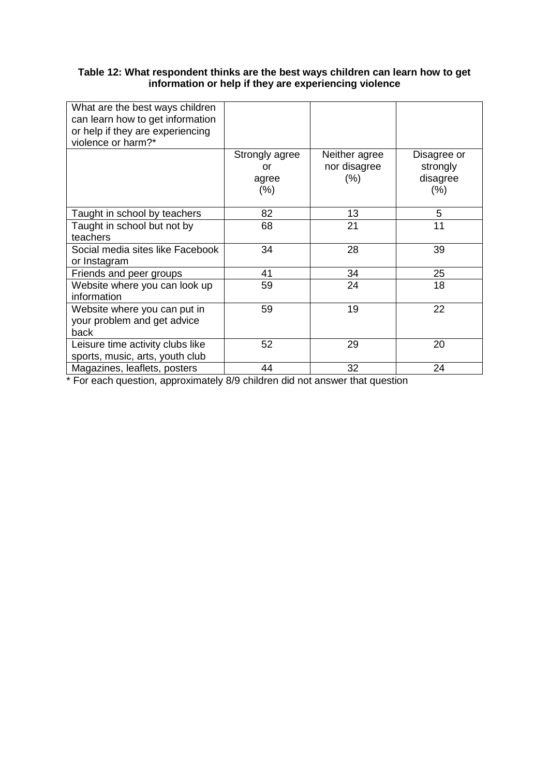### **Table 12: What respondent thinks are the best ways children can learn how to get information or help if they are experiencing violence**

| What are the best ways children  |                |               |             |
|----------------------------------|----------------|---------------|-------------|
| can learn how to get information |                |               |             |
| or help if they are experiencing |                |               |             |
| violence or harm?*               |                |               |             |
|                                  | Strongly agree | Neither agree | Disagree or |
|                                  | or             | nor disagree  | strongly    |
|                                  | agree          | (%)           | disagree    |
|                                  | $(\% )$        |               | $(\% )$     |
|                                  |                |               |             |
| Taught in school by teachers     | 82             | 13            | 5           |
| Taught in school but not by      | 68             | 21            | 11          |
| teachers                         |                |               |             |
| Social media sites like Facebook | 34             | 28            | 39          |
| or Instagram                     |                |               |             |
| Friends and peer groups          | 41             | 34            | 25          |
| Website where you can look up    | 59             | 24            | 18          |
| information                      |                |               |             |
| Website where you can put in     | 59             | 19            | 22          |
| your problem and get advice      |                |               |             |
| back                             |                |               |             |
| Leisure time activity clubs like | 52             | 29            | 20          |
| sports, music, arts, youth club  |                |               |             |
| Magazines, leaflets, posters     | 44             | 32            | 24          |
|                                  |                |               |             |

\* For each question, approximately 8/9 children did not answer that question